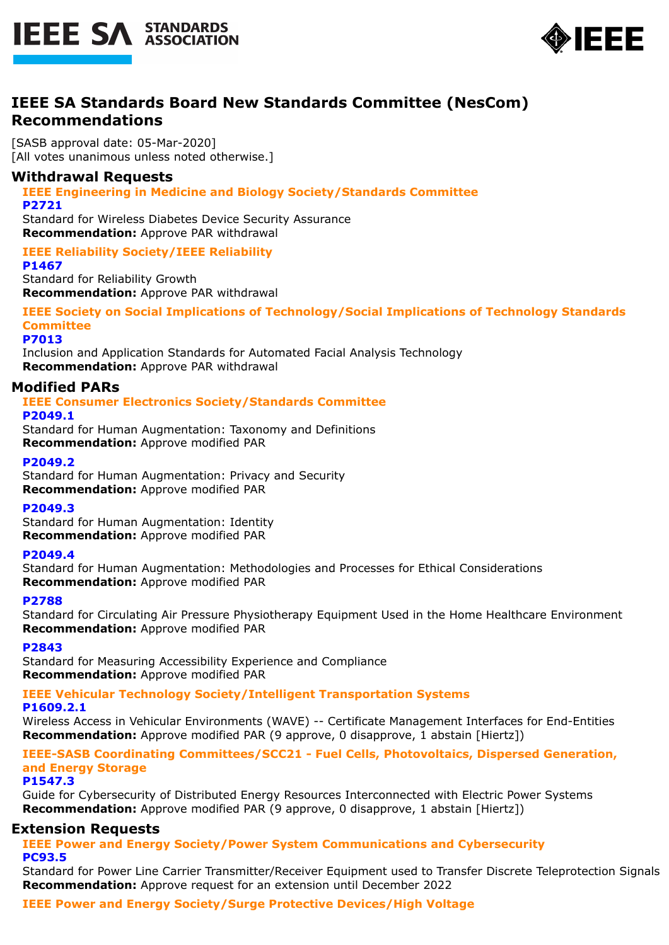



# **IEEE SA Standards Board New Standards Committee (NesCom) Recommendations**

[SASB approval date: 05-Mar-2020] [All votes unanimous unless noted otherwise.]

# **Withdrawal Requests**

**IEEE Engineering in Medicine and Biology Society/Standards Committee P2721**

Standard for Wireless Diabetes Device Security Assurance **Recommendation:** Approve PAR withdrawal

# **IEEE Reliability Society/IEEE Reliability**

**P1467** Standard for Reliability Growth **Recommendation:** Approve PAR withdrawal

**IEEE Society on Social Implications of Technology/Social Implications of Technology Standards Committee**

**P7013**

Inclusion and Application Standards for Automated Facial Analysis Technology **Recommendation:** Approve PAR withdrawal

# **Modified PARs**

# **IEEE Consumer Electronics Society/Standards Committee**

**P2049.1**

Standard for Human Augmentation: Taxonomy and Definitions **Recommendation:** Approve modified PAR

# **P2049.2**

Standard for Human Augmentation: Privacy and Security **Recommendation:** Approve modified PAR

**P2049.3**

Standard for Human Augmentation: Identity **Recommendation:** Approve modified PAR

# **P2049.4**

Standard for Human Augmentation: Methodologies and Processes for Ethical Considerations **Recommendation:** Approve modified PAR

## **P2788**

Standard for Circulating Air Pressure Physiotherapy Equipment Used in the Home Healthcare Environment **Recommendation:** Approve modified PAR

**P2843**

Standard for Measuring Accessibility Experience and Compliance **Recommendation:** Approve modified PAR

# **IEEE Vehicular Technology Society/Intelligent Transportation Systems**

**P1609.2.1**

Wireless Access in Vehicular Environments (WAVE) -- Certificate Management Interfaces for End-Entities **Recommendation:** Approve modified PAR (9 approve, 0 disapprove, 1 abstain [Hiertz])

**IEEE-SASB Coordinating Committees/SCC21 - Fuel Cells, Photovoltaics, Dispersed Generation, and Energy Storage**

#### **P1547.3**

Guide for Cybersecurity of Distributed Energy Resources Interconnected with Electric Power Systems **Recommendation:** Approve modified PAR (9 approve, 0 disapprove, 1 abstain [Hiertz])

# **Extension Requests**

**IEEE Power and Energy Society/Power System Communications and Cybersecurity PC93.5**

Standard for Power Line Carrier Transmitter/Receiver Equipment used to Transfer Discrete Teleprotection Signals **Recommendation:** Approve request for an extension until December 2022

# **IEEE Power and Energy Society/Surge Protective Devices/High Voltage**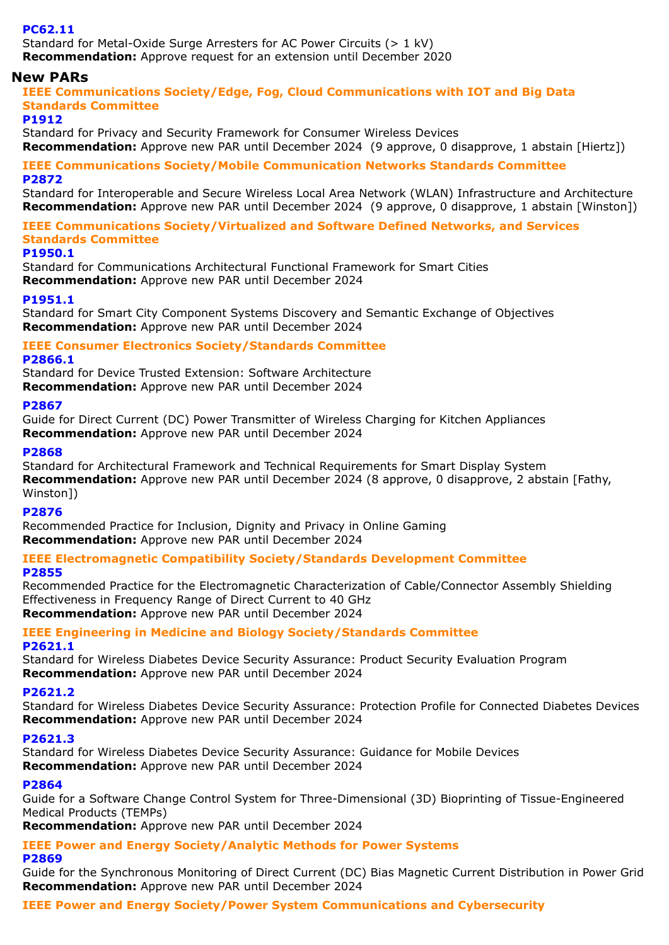# **PC62.11**

Standard for Metal-Oxide Surge Arresters for AC Power Circuits (> 1 kV) **Recommendation:** Approve request for an extension until December 2020

# **New PARs**

**IEEE Communications Society/Edge, Fog, Cloud Communications with IOT and Big Data Standards Committee**

## **P1912**

Standard for Privacy and Security Framework for Consumer Wireless Devices

**Recommendation:** Approve new PAR until December 2024 (9 approve, 0 disapprove, 1 abstain [Hiertz])

# **IEEE Communications Society/Mobile Communication Networks Standards Committee P2872**

Standard for Interoperable and Secure Wireless Local Area Network (WLAN) Infrastructure and Architecture **Recommendation:** Approve new PAR until December 2024 (9 approve, 0 disapprove, 1 abstain [Winston])

**IEEE Communications Society/Virtualized and Software Defined Networks, and Services Standards Committee**

#### **P1950.1**

Standard for Communications Architectural Functional Framework for Smart Cities **Recommendation:** Approve new PAR until December 2024

## **P1951.1**

Standard for Smart City Component Systems Discovery and Semantic Exchange of Objectives **Recommendation:** Approve new PAR until December 2024

## **IEEE Consumer Electronics Society/Standards Committee**

## **P2866.1**

Standard for Device Trusted Extension: Software Architecture **Recommendation:** Approve new PAR until December 2024

## **P2867**

Guide for Direct Current (DC) Power Transmitter of Wireless Charging for Kitchen Appliances **Recommendation:** Approve new PAR until December 2024

## **P2868**

Standard for Architectural Framework and Technical Requirements for Smart Display System **Recommendation:** Approve new PAR until December 2024 (8 approve, 0 disapprove, 2 abstain [Fathy, Winston])

# **P2876**

Recommended Practice for Inclusion, Dignity and Privacy in Online Gaming **Recommendation:** Approve new PAR until December 2024

# **IEEE Electromagnetic Compatibility Society/Standards Development Committee**

## **P2855**

Recommended Practice for the Electromagnetic Characterization of Cable/Connector Assembly Shielding Effectiveness in Frequency Range of Direct Current to 40 GHz **Recommendation:** Approve new PAR until December 2024

# **IEEE Engineering in Medicine and Biology Society/Standards Committee**

## **P2621.1**

Standard for Wireless Diabetes Device Security Assurance: Product Security Evaluation Program **Recommendation:** Approve new PAR until December 2024

## **P2621.2**

Standard for Wireless Diabetes Device Security Assurance: Protection Profile for Connected Diabetes Devices **Recommendation:** Approve new PAR until December 2024

## **P2621.3**

Standard for Wireless Diabetes Device Security Assurance: Guidance for Mobile Devices **Recommendation:** Approve new PAR until December 2024

# **P2864**

Guide for a Software Change Control System for Three-Dimensional (3D) Bioprinting of Tissue-Engineered Medical Products (TEMPs)

**Recommendation:** Approve new PAR until December 2024

#### **IEEE Power and Energy Society/Analytic Methods for Power Systems P2869**

Guide for the Synchronous Monitoring of Direct Current (DC) Bias Magnetic Current Distribution in Power Grid **Recommendation:** Approve new PAR until December 2024

**IEEE Power and Energy Society/Power System Communications and Cybersecurity**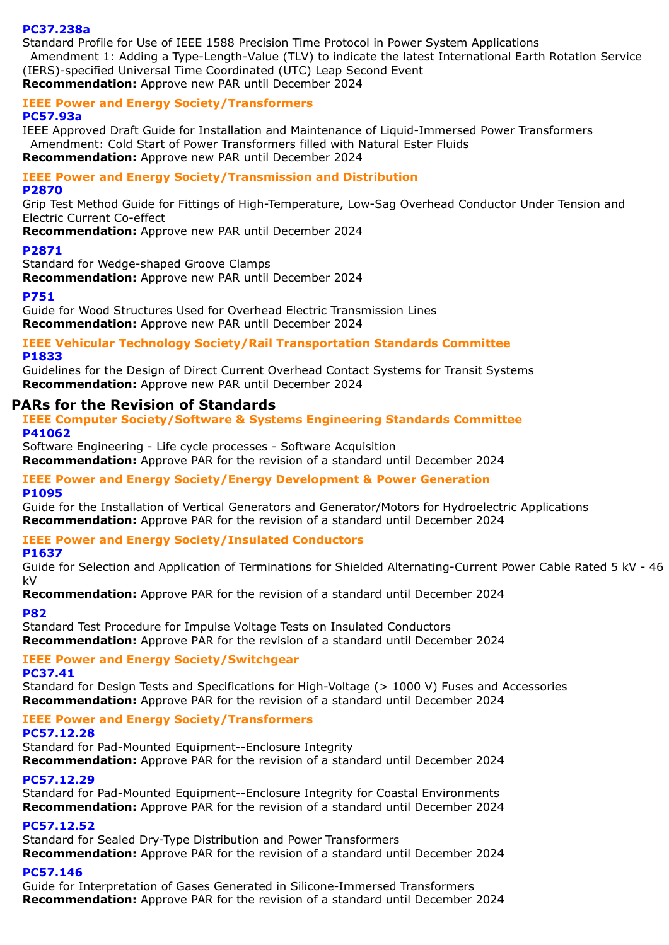#### **PC37.238a**

Standard Profile for Use of IEEE 1588 Precision Time Protocol in Power System Applications Amendment 1: Adding a Type-Length-Value (TLV) to indicate the latest International Earth Rotation Service (IERS)-specified Universal Time Coordinated (UTC) Leap Second Event **Recommendation:** Approve new PAR until December 2024

### **IEEE Power and Energy Society/Transformers**

### **PC57.93a**

IEEE Approved Draft Guide for Installation and Maintenance of Liquid-Immersed Power Transformers Amendment: Cold Start of Power Transformers filled with Natural Ester Fluids **Recommendation:** Approve new PAR until December 2024

# **IEEE Power and Energy Society/Transmission and Distribution**

**P2870**

Grip Test Method Guide for Fittings of High-Temperature, Low-Sag Overhead Conductor Under Tension and Electric Current Co-effect

**Recommendation:** Approve new PAR until December 2024

## **P2871**

Standard for Wedge-shaped Groove Clamps **Recommendation:** Approve new PAR until December 2024

## **P751**

Guide for Wood Structures Used for Overhead Electric Transmission Lines **Recommendation:** Approve new PAR until December 2024

### **IEEE Vehicular Technology Society/Rail Transportation Standards Committee P1833**

Guidelines for the Design of Direct Current Overhead Contact Systems for Transit Systems **Recommendation:** Approve new PAR until December 2024

# **PARs for the Revision of Standards**

### **IEEE Computer Society/Software & Systems Engineering Standards Committee P41062**

Software Engineering - Life cycle processes - Software Acquisition **Recommendation:** Approve PAR for the revision of a standard until December 2024

#### **IEEE Power and Energy Society/Energy Development & Power Generation P1095**

Guide for the Installation of Vertical Generators and Generator/Motors for Hydroelectric Applications **Recommendation:** Approve PAR for the revision of a standard until December 2024

# **IEEE Power and Energy Society/Insulated Conductors**

## **P1637**

Guide for Selection and Application of Terminations for Shielded Alternating-Current Power Cable Rated 5 kV - 46 kV

**Recommendation:** Approve PAR for the revision of a standard until December 2024

## **P82**

Standard Test Procedure for Impulse Voltage Tests on Insulated Conductors **Recommendation:** Approve PAR for the revision of a standard until December 2024

# **IEEE Power and Energy Society/Switchgear**

## **PC37.41**

Standard for Design Tests and Specifications for High-Voltage (> 1000 V) Fuses and Accessories **Recommendation:** Approve PAR for the revision of a standard until December 2024

## **IEEE Power and Energy Society/Transformers**

## **PC57.12.28**

Standard for Pad-Mounted Equipment--Enclosure Integrity **Recommendation:** Approve PAR for the revision of a standard until December 2024

## **PC57.12.29**

Standard for Pad-Mounted Equipment--Enclosure Integrity for Coastal Environments **Recommendation:** Approve PAR for the revision of a standard until December 2024

## **PC57.12.52**

Standard for Sealed Dry-Type Distribution and Power Transformers **Recommendation:** Approve PAR for the revision of a standard until December 2024

## **PC57.146**

Guide for Interpretation of Gases Generated in Silicone-Immersed Transformers **Recommendation:** Approve PAR for the revision of a standard until December 2024